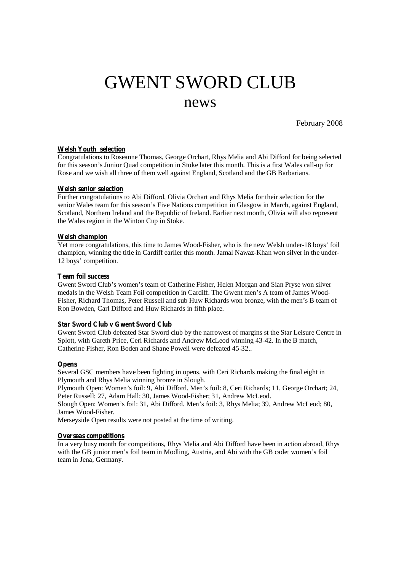# GWENT SWORD CLUB news

February 2008

## **Welsh Youth selection**

Congratulations to Roseanne Thomas, George Orchart, Rhys Melia and Abi Difford for being selected for this season's Junior Quad competition in Stoke later this month. This is a first Wales call-up for Rose and we wish all three of them well against England, Scotland and the GB Barbarians.

## **Welsh senior selection**

Further congratulations to Abi Difford, Olivia Orchart and Rhys Melia for their selection for the senior Wales team for this season's Five Nations competition in Glasgow in March, against England, Scotland, Northern Ireland and the Republic of Ireland. Earlier next month, Olivia will also represent the Wales region in the Winton Cup in Stoke.

## **Welsh champion**

Yet more congratulations, this time to James Wood-Fisher, who is the new Welsh under-18 boys' foil champion, winning the title in Cardiff earlier this month. Jamal Nawaz-Khan won silver in the under-12 boys' competition.

## **Team foil success**

Gwent Sword Club's women's team of Catherine Fisher, Helen Morgan and Sian Pryse won silver medals in the Welsh Team Foil competition in Cardiff. The Gwent men's A team of James Wood-Fisher, Richard Thomas, Peter Russell and sub Huw Richards won bronze, with the men's B team of Ron Bowden, Carl Difford and Huw Richards in fifth place.

## **Star Sword Club v Gwent Sword Club**

Gwent Sword Club defeated Star Sword club by the narrowest of margins st the Star Leisure Centre in Splott, with Gareth Price, Ceri Richards and Andrew McLeod winning 43-42. In the B match, Catherine Fisher, Ron Boden and Shane Powell were defeated 45-32..

#### **Opens**

Several GSC members have been fighting in opens, with Ceri Richards making the final eight in Plymouth and Rhys Melia winning bronze in Slough.

Plymouth Open: Women's foil: 9, Abi Difford. Men's foil: 8, Ceri Richards; 11, George Orchart; 24, Peter Russell; 27, Adam Hall; 30, James Wood-Fisher; 31, Andrew McLeod.

Slough Open: Women's foil: 31, Abi Difford. Men's foil: 3, Rhys Melia; 39, Andrew McLeod; 80, James Wood-Fisher.

Merseyside Open results were not posted at the time of writing.

#### **Overseas competitions**

In a very busy month for competitions, Rhys Melia and Abi Difford have been in action abroad, Rhys with the GB junior men's foil team in Modling, Austria, and Abi with the GB cadet women's foil team in Jena, Germany.